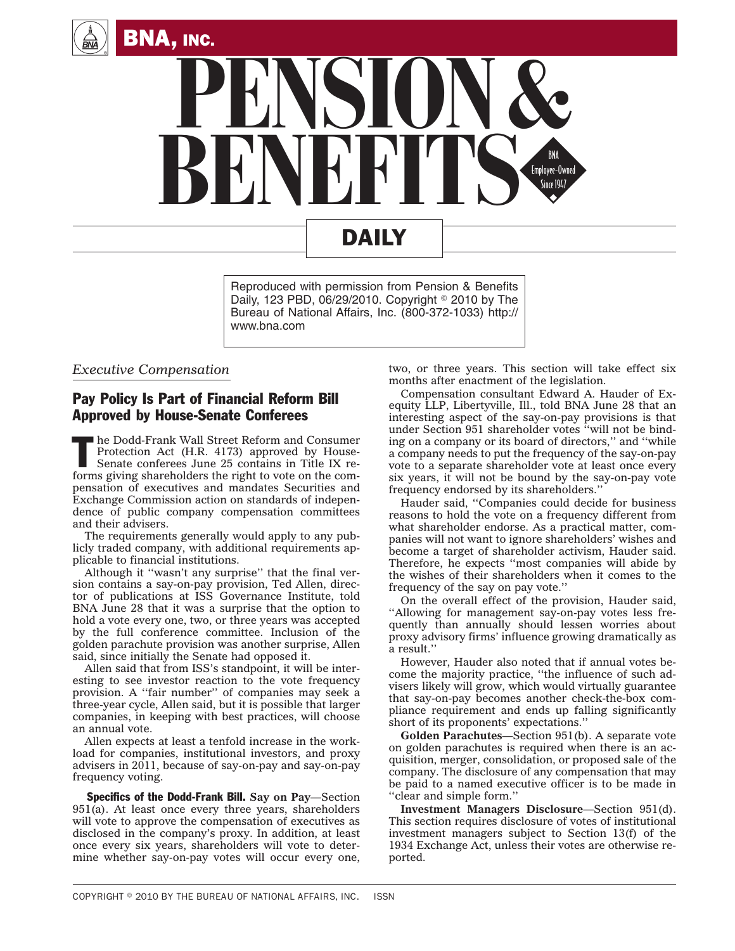



Reproduced with permission from Pension & Benefits Daily, 123 PBD, 06/29/2010. Copyright  $\degree$  2010 by The Bureau of National Affairs, Inc. (800-372-1033) http:// www.bna.com

## *Executive Compensation*

## Pay Policy Is Part of Financial Reform Bill Approved by House-Senate Conferees

The Dodd-Frank Wall Street Reform and Consumer<br>Protection Act (H.R. 4173) approved by House-<br>Senate conferees June 25 contains in Title IX reforms given beneficially approach and the Street Protection Act (H.R. 4173) approved by House-Senate conferees June 25 contains in Title IX reforms giving shareholders the right to vote on the compensation of executives and mandates Securities and Exchange Commission action on standards of independence of public company compensation committees and their advisers.

The requirements generally would apply to any publicly traded company, with additional requirements applicable to financial institutions.

Although it ''wasn't any surprise'' that the final version contains a say-on-pay provision, Ted Allen, director of publications at ISS Governance Institute, told BNA June 28 that it was a surprise that the option to hold a vote every one, two, or three years was accepted by the full conference committee. Inclusion of the golden parachute provision was another surprise, Allen said, since initially the Senate had opposed it.

Allen said that from ISS's standpoint, it will be interesting to see investor reaction to the vote frequency provision. A ''fair number'' of companies may seek a three-year cycle, Allen said, but it is possible that larger companies, in keeping with best practices, will choose an annual vote.

Allen expects at least a tenfold increase in the workload for companies, institutional investors, and proxy advisers in 2011, because of say-on-pay and say-on-pay frequency voting.

Specifics of the Dodd-Frank Bill. **Say on Pay**—Section 951(a). At least once every three years, shareholders will vote to approve the compensation of executives as disclosed in the company's proxy. In addition, at least once every six years, shareholders will vote to determine whether say-on-pay votes will occur every one, two, or three years. This section will take effect six months after enactment of the legislation.

Compensation consultant Edward A. Hauder of Exequity LLP, Libertyville, Ill., told BNA June 28 that an interesting aspect of the say-on-pay provisions is that under Section 951 shareholder votes ''will not be binding on a company or its board of directors,'' and ''while a company needs to put the frequency of the say-on-pay vote to a separate shareholder vote at least once every six years, it will not be bound by the say-on-pay vote frequency endorsed by its shareholders.''

Hauder said, ''Companies could decide for business reasons to hold the vote on a frequency different from what shareholder endorse. As a practical matter, companies will not want to ignore shareholders' wishes and become a target of shareholder activism, Hauder said. Therefore, he expects ''most companies will abide by the wishes of their shareholders when it comes to the frequency of the say on pay vote.''

On the overall effect of the provision, Hauder said, ''Allowing for management say-on-pay votes less frequently than annually should lessen worries about proxy advisory firms' influence growing dramatically as a result.''

However, Hauder also noted that if annual votes become the majority practice, ''the influence of such advisers likely will grow, which would virtually guarantee that say-on-pay becomes another check-the-box compliance requirement and ends up falling significantly short of its proponents' expectations.''

**Golden Parachutes**—Section 951(b). A separate vote on golden parachutes is required when there is an acquisition, merger, consolidation, or proposed sale of the company. The disclosure of any compensation that may be paid to a named executive officer is to be made in ''clear and simple form.''

**Investment Managers Disclosure**—Section 951(d). This section requires disclosure of votes of institutional investment managers subject to Section 13(f) of the 1934 Exchange Act, unless their votes are otherwise reported.